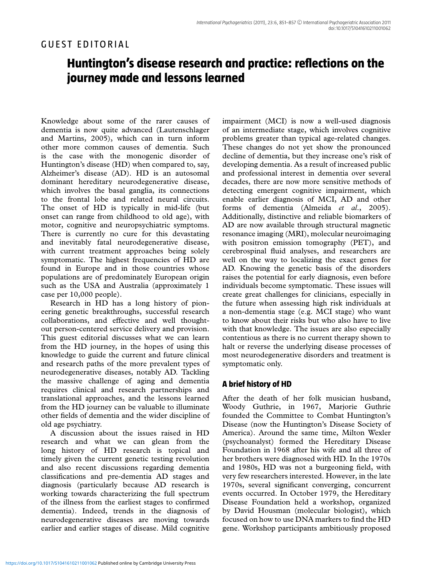# GUEST EDITORIAL

# **Huntington's disease research and practice: reflections on the journey made and lessons learned**

Knowledge about some of the rarer causes of dementia is now quite advanced (Lautenschlager and Martins, 2005), which can in turn inform other more common causes of dementia. Such is the case with the monogenic disorder of Huntington's disease (HD) when compared to, say, Alzheimer's disease (AD). HD is an autosomal dominant hereditary neurodegenerative disease, which involves the basal ganglia, its connections to the frontal lobe and related neural circuits. The onset of HD is typically in mid-life (but onset can range from childhood to old age), with motor, cognitive and neuropsychiatric symptoms. There is currently no cure for this devastating and inevitably fatal neurodegenerative disease, with current treatment approaches being solely symptomatic. The highest frequencies of HD are found in Europe and in those countries whose populations are of predominately European origin such as the USA and Australia (approximately 1 case per 10,000 people).

Research in HD has a long history of pioneering genetic breakthroughs, successful research collaborations, and effective and well thoughtout person-centered service delivery and provision. This guest editorial discusses what we can learn from the HD journey, in the hopes of using this knowledge to guide the current and future clinical and research paths of the more prevalent types of neurodegenerative diseases, notably AD. Tackling the massive challenge of aging and dementia requires clinical and research partnerships and translational approaches, and the lessons learned from the HD journey can be valuable to illuminate other fields of dementia and the wider discipline of old age psychiatry.

A discussion about the issues raised in HD research and what we can glean from the long history of HD research is topical and timely given the current genetic testing revolution and also recent discussions regarding dementia classifications and pre-dementia AD stages and diagnosis (particularly because AD research is working towards characterizing the full spectrum of the illness from the earliest stages to confirmed dementia). Indeed, trends in the diagnosis of neurodegenerative diseases are moving towards earlier and earlier stages of disease. Mild cognitive impairment (MCI) is now a well-used diagnosis of an intermediate stage, which involves cognitive problems greater than typical age-related changes. These changes do not yet show the pronounced decline of dementia, but they increase one's risk of developing dementia. As a result of increased public and professional interest in dementia over several decades, there are now more sensitive methods of detecting emergent cognitive impairment, which enable earlier diagnosis of MCI, AD and other forms of dementia (Almeida *et al*., 2005). Additionally, distinctive and reliable biomarkers of AD are now available through structural magnetic resonance imaging (MRI), molecular neuroimaging with positron emission tomography (PET), and cerebrospinal fluid analyses, and researchers are well on the way to localizing the exact genes for AD. Knowing the genetic basis of the disorders raises the potential for early diagnosis, even before individuals become symptomatic. These issues will create great challenges for clinicians, especially in the future when assessing high risk individuals at a non-dementia stage (e.g. MCI stage) who want to know about their risks but who also have to live with that knowledge. The issues are also especially contentious as there is no current therapy shown to halt or reverse the underlying disease processes of most neurodegenerative disorders and treatment is symptomatic only.

# **A brief history of HD**

After the death of her folk musician husband, Woody Guthrie, in 1967, Marjorie Guthrie founded the Committee to Combat Huntington's Disease (now the Huntington's Disease Society of America). Around the same time, Milton Wexler (psychoanalyst) formed the Hereditary Disease Foundation in 1968 after his wife and all three of her brothers were diagnosed with HD. In the 1970s and 1980s, HD was not a burgeoning field, with very few researchers interested. However, in the late 1970s, several significant converging, concurrent events occurred. In October 1979, the Hereditary Disease Foundation held a workshop, organized by David Housman (molecular biologist), which focused on how to use DNA markers to find the HD gene. Workshop participants ambitiously proposed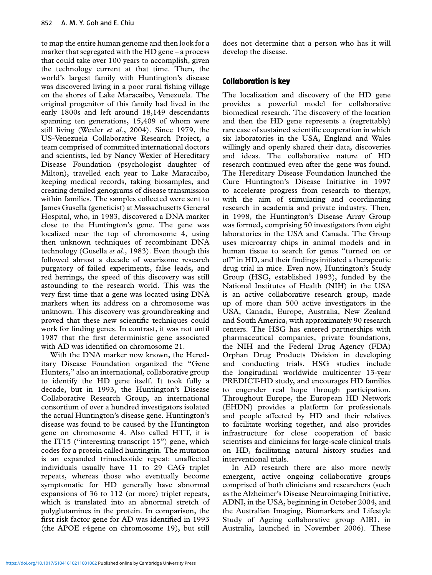to map the entire human genome and then look for a marker that segregated with the HD gene – a process that could take over 100 years to accomplish, given the technology current at that time. Then, the world's largest family with Huntington's disease was discovered living in a poor rural fishing village on the shores of Lake Maracaibo, Venezuela. The original progenitor of this family had lived in the early 1800s and left around 18,149 descendants spanning ten generations, 15,409 of whom were still living (Wexler *et al.*, 2004). Since 1979, the US-Venezuela Collaborative Research Project, a team comprised of committed international doctors and scientists, led by Nancy Wexler of Hereditary Disease Foundation (psychologist daughter of Milton), travelled each year to Lake Maracaibo, keeping medical records, taking biosamples, and creating detailed genograms of disease transmission within families. The samples collected were sent to James Gusella (geneticist) at Massachusetts General Hospital, who, in 1983, discovered a DNA marker close to the Huntington's gene. The gene was localized near the top of chromosome 4, using then unknown techniques of recombinant DNA technology (Gusella *et al.,* 1983). Even though this followed almost a decade of wearisome research purgatory of failed experiments, false leads, and red herrings, the speed of this discovery was still astounding to the research world. This was the very first time that a gene was located using DNA markers when its address on a chromosome was unknown. This discovery was groundbreaking and proved that these new scientific techniques could work for finding genes. In contrast, it was not until 1987 that the first deterministic gene associated with AD was identified on chromosome 21.

With the DNA marker now known, the Hereditary Disease Foundation organized the "Gene Hunters," also an international, collaborative group to identify the HD gene itself. It took fully a decade, but in 1993, the Huntington's Disease Collaborative Research Group, an international consortium of over a hundred investigators isolated the actual Huntington's disease gene. Huntington's disease was found to be caused by the Huntington gene on chromosome 4. Also called HTT, it is the IT15 ("interesting transcript 15") gene, which codes for a protein called huntingtin. The mutation is an expanded trinucleotide repeat: unaffected individuals usually have 11 to 29 CAG triplet repeats, whereas those who eventually become symptomatic for HD generally have abnormal expansions of 36 to 112 (or more) triplet repeats, which is translated into an abnormal stretch of polyglutamines in the protein. In comparison, the first risk factor gene for AD was identified in 1993 (the APOE  $\varepsilon$ 4gene on chromosome 19), but still does not determine that a person who has it will develop the disease.

## **Collaboration is key**

The localization and discovery of the HD gene provides a powerful model for collaborative biomedical research. The discovery of the location and then the HD gene represents a (regrettably) rare case of sustained scientific cooperation in which six laboratories in the USA, England and Wales willingly and openly shared their data, discoveries and ideas. The collaborative nature of HD research continued even after the gene was found. The Hereditary Disease Foundation launched the Cure Huntington's Disease Initiative in 1997 to accelerate progress from research to therapy, with the aim of stimulating and coordinating research in academia and private industry. Then, in 1998, the Huntington's Disease Array Group was formed**,** comprising 50 investigators from eight laboratories in the USA and Canada. The Group uses microarray chips in animal models and in human tissue to search for genes "turned on or off" in HD, and their findings initiated a therapeutic drug trial in mice. Even now, Huntington's Study Group (HSG, established 1993), funded by the National Institutes of Health (NIH) in the USA is an active collaborative research group, made up of more than 500 active investigators in the USA, Canada, Europe, Australia, New Zealand and South America, with approximately 90 research centers. The HSG has entered partnerships with pharmaceutical companies, private foundations, the NIH and the Federal Drug Agency (FDA) Orphan Drug Products Division in developing and conducting trials. HSG studies include the longitudinal worldwide multicenter 13-year PREDICT-HD study, and encourages HD families to engender real hope through participation. Throughout Europe, the European HD Network (EHDN) provides a platform for professionals and people affected by HD and their relatives to facilitate working together, and also provides infrastructure for close cooperation of basic scientists and clinicians for large-scale clinical trials on HD, facilitating natural history studies and interventional trials.

In AD research there are also more newly emergent, active ongoing collaborative groups comprised of both clinicians and researchers (such as the Alzheimer's Disease Neuroimaging Initiative, ADNI, in the USA, beginning in October 2004, and the Australian Imaging, Biomarkers and Lifestyle Study of Ageing collaborative group AIBL in Australia, launched in November 2006). These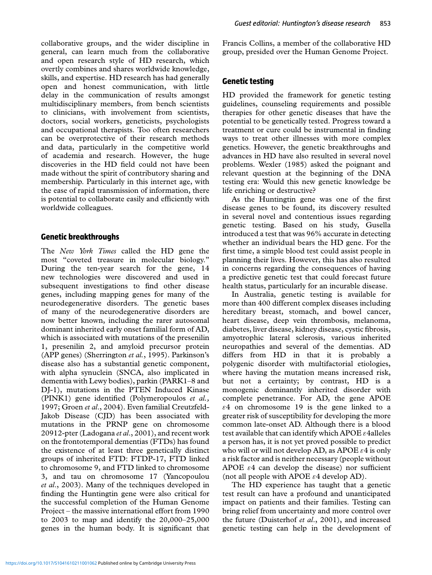collaborative groups, and the wider discipline in general, can learn much from the collaborative and open research style of HD research, which overtly combines and shares worldwide knowledge, skills, and expertise. HD research has had generally open and honest communication, with little delay in the communication of results amongst multidisciplinary members, from bench scientists to clinicians, with involvement from scientists, doctors, social workers, geneticists, psychologists and occupational therapists. Too often researchers can be overprotective of their research methods and data, particularly in the competitive world of academia and research. However, the huge discoveries in the HD field could not have been made without the spirit of contributory sharing and membership. Particularly in this internet age, with the ease of rapid transmission of information, there is potential to collaborate easily and efficiently with worldwide colleagues.

#### **Genetic breakthroughs**

The *New York Times* called the HD gene the most "coveted treasure in molecular biology." During the ten-year search for the gene, 14 new technologies were discovered and used in subsequent investigations to find other disease genes, including mapping genes for many of the neurodegenerative disorders. The genetic bases of many of the neurodegenerative disorders are now better known, including the rarer autosomal dominant inherited early onset familial form of AD, which is associated with mutations of the presenilin 1, presenilin 2, and amyloid precursor protein (APP genes) (Sherrington *et al.*, 1995). Parkinson's disease also has a substantial genetic component, with alpha synuclein (SNCA, also implicated in dementia with Lewy bodies), parkin (PARK1–8 and DJ-1), mutations in the PTEN Induced Kinase (PINK1) gene identified (Polymeropoulos *et al.,* 1997; Groen *et al*., 2004). Even familial Creutzfeld-Jakob Disease (CJD) has been associated with mutations in the PRNP gene on chromosome 20912-pter (Ladogana *et al*., 2001), and recent work on the frontotemporal dementias (FTDs) has found the existence of at least three genetically distinct groups of inherited FTD: FTDP-17, FTD linked to chromosome 9, and FTD linked to chromosome 3, and tau on chromosome 17 (Yancopoulou *et al*., 2003). Many of the techniques developed in finding the Huntingtin gene were also critical for the successful completion of the Human Genome Project – the massive international effort from 1990 to 2003 to map and identify the 20,000–25,000 genes in the human body. It is significant that Francis Collins, a member of the collaborative HD group, presided over the Human Genome Project.

# **Genetic testing**

HD provided the framework for genetic testing guidelines, counseling requirements and possible therapies for other genetic diseases that have the potential to be genetically tested. Progress toward a treatment or cure could be instrumental in finding ways to treat other illnesses with more complex genetics. However, the genetic breakthroughs and advances in HD have also resulted in several novel problems. Wexler (1985) asked the poignant and relevant question at the beginning of the DNA testing era: Would this new genetic knowledge be life enriching or destructive?

As the Huntingtin gene was one of the first disease genes to be found, its discovery resulted in several novel and contentious issues regarding genetic testing. Based on his study, Gusella introduced a test that was 96% accurate in detecting whether an individual bears the HD gene. For the first time, a simple blood test could assist people in planning their lives. However, this has also resulted in concerns regarding the consequences of having a predictive genetic test that could forecast future health status, particularly for an incurable disease.

In Australia, genetic testing is available for more than 400 different complex diseases including hereditary breast, stomach, and bowel cancer, heart disease, deep vein thrombosis, melanoma, diabetes, liver disease, kidney disease, cystic fibrosis, amyotrophic lateral sclerosis, various inherited neuropathies and several of the dementias. AD differs from HD in that it is probably a polygenic disorder with multifactorial etiologies, where having the mutation means increased risk, but not a certainty; by contrast, HD is a monogenic dominantly inherited disorder with complete penetrance. For AD, the gene APOE  $\varepsilon$ 4 on chromosome 19 is the gene linked to a greater risk of susceptibility for developing the more common late-onset AD. Although there is a blood test available that can identify which APOE  $\varepsilon$ 4alleles a person has, it is not yet proved possible to predict who will or will not develop AD, as APOE  $\varepsilon$ 4 is only a risk factor and is neither necessary (people without APOE  $\varepsilon$ 4 can develop the disease) nor sufficient (not all people with APOE  $\varepsilon$ 4 develop AD).

The HD experience has taught that a genetic test result can have a profound and unanticipated impact on patients and their families. Testing can bring relief from uncertainty and more control over the future (Duisterhof *et al*., 2001), and increased genetic testing can help in the development of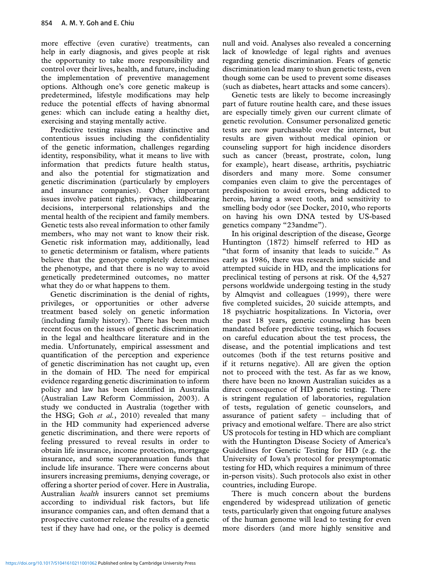more effective (even curative) treatments, can help in early diagnosis, and gives people at risk the opportunity to take more responsibility and control over their lives, health, and future, including the implementation of preventive management options. Although one's core genetic makeup is predetermined, lifestyle modifications may help reduce the potential effects of having abnormal genes: which can include eating a healthy diet, exercising and staying mentally active.

Predictive testing raises many distinctive and contentious issues including the confidentiality of the genetic information, challenges regarding identity, responsibility, what it means to live with information that predicts future health status, and also the potential for stigmatization and genetic discrimination (particularly by employers and insurance companies). Other important issues involve patient rights, privacy, childbearing decisions, interpersonal relationships and the mental health of the recipient and family members. Genetic tests also reveal information to other family members, who may not want to know their risk. Genetic risk information may, additionally, lead to genetic determinism or fatalism, where patients believe that the genotype completely determines the phenotype, and that there is no way to avoid genetically predetermined outcomes, no matter what they do or what happens to them.

Genetic discrimination is the denial of rights, privileges, or opportunities or other adverse treatment based solely on genetic information (including family history). There has been much recent focus on the issues of genetic discrimination in the legal and healthcare literature and in the media. Unfortunately, empirical assessment and quantification of the perception and experience of genetic discrimination has not caught up, even in the domain of HD. The need for empirical evidence regarding genetic discrimination to inform policy and law has been identified in Australia (Australian Law Reform Commission, 2003). A study we conducted in Australia (together with the HSG; Goh *et al.*, 2010) revealed that many in the HD community had experienced adverse genetic discrimination, and there were reports of feeling pressured to reveal results in order to obtain life insurance, income protection, mortgage insurance, and some superannuation funds that include life insurance. There were concerns about insurers increasing premiums, denying coverage, or offering a shorter period of cover. Here in Australia, Australian *health* insurers cannot set premiums according to individual risk factors, but life insurance companies can, and often demand that a prospective customer release the results of a genetic test if they have had one, or the policy is deemed null and void. Analyses also revealed a concerning lack of knowledge of legal rights and avenues regarding genetic discrimination. Fears of genetic discrimination lead many to shun genetic tests, even though some can be used to prevent some diseases (such as diabetes, heart attacks and some cancers).

Genetic tests are likely to become increasingly part of future routine health care, and these issues are especially timely given our current climate of genetic revolution. Consumer personalized genetic tests are now purchasable over the internet, but results are given without medical opinion or counseling support for high incidence disorders such as cancer (breast, prostrate, colon, lung for example), heart disease, arthritis, psychiatric disorders and many more. Some consumer companies even claim to give the percentages of predisposition to avoid errors, being addicted to heroin, having a sweet tooth, and sensitivity to smelling body odor (see Docker, 2010, who reports on having his own DNA tested by US-based genetics company "23andme").

In his original description of the disease, George Huntington (1872) himself referred to HD as "that form of insanity that leads to suicide." As early as 1986, there was research into suicide and attempted suicide in HD, and the implications for preclinical testing of persons at risk. Of the 4,527 persons worldwide undergoing testing in the study by Almqvist and colleagues (1999), there were five completed suicides, 20 suicide attempts, and 18 psychiatric hospitalizations. In Victoria, over the past 18 years, genetic counseling has been mandated before predictive testing, which focuses on careful education about the test process, the disease, and the potential implications and test outcomes (both if the test returns positive and if it returns negative). All are given the option not to proceed with the test. As far as we know, there have been no known Australian suicides as a direct consequence of HD genetic testing. There is stringent regulation of laboratories, regulation of tests, regulation of genetic counselors, and assurance of patient safety – including that of privacy and emotional welfare. There are also strict US protocols for testing in HD which are compliant with the Huntington Disease Society of America's Guidelines for Genetic Testing for HD (e.g. the University of Iowa's protocol for presymptomatic testing for HD, which requires a minimum of three in-person visits). Such protocols also exist in other countries, including Europe.

There is much concern about the burdens engendered by widespread utilization of genetic tests, particularly given that ongoing future analyses of the human genome will lead to testing for even more disorders (and more highly sensitive and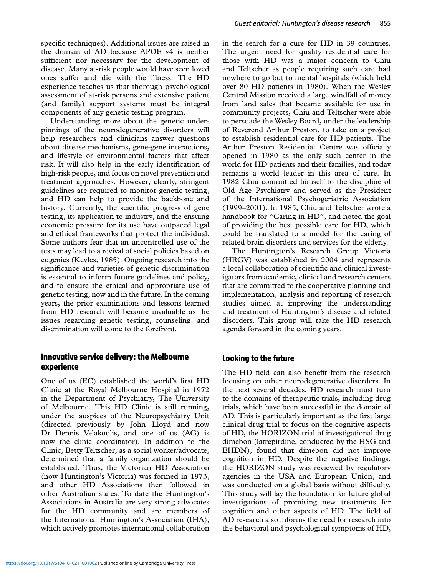specific techniques). Additional issues are raised in the domain of AD because APOE  $\varepsilon$ 4 is neither sufficient nor necessary for the development of disease. Many at-risk people would have seen loved ones suffer and die with the illness. The HD experience teaches us that thorough psychological assessment of at-risk persons and extensive patient (and family) support systems must be integral components of any genetic testing program.

Understanding more about the genetic underpinnings of the neurodegenerative disorders will help researchers and clinicians answer questions about disease mechanisms, gene-gene interactions, and lifestyle or environmental factors that affect risk. It will also help in the early identification of high-risk people, and focus on novel prevention and treatment approaches. However, clearly, stringent guidelines are required to monitor genetic testing, and HD can help to provide the backbone and history. Currently, the scientific progress of gene testing, its application to industry, and the ensuing economic pressure for its use have outpaced legal and ethical frameworks that protect the individual. Some authors fear that an uncontrolled use of the tests may lead to a revival of social policies based on eugenics (Kevles, 1985). Ongoing research into the significance and varieties of genetic discrimination is essential to inform future guidelines and policy, and to ensure the ethical and appropriate use of genetic testing, now and in the future. In the coming years, the prior examinations and lessons learned from HD research will become invaluable as the issues regarding genetic testing, counseling, and discrimination will come to the forefront.

### **Innovative service delivery: the Melbourne experience**

One of us (EC) established the world's first HD Clinic at the Royal Melbourne Hospital in 1972 in the Department of Psychiatry, The University of Melbourne. This HD Clinic is still running, under the auspices of the Neuropsychiatry Unit (directed previously by John Lloyd and now Dr Dennis Velakoulis, and one of us (AG) is now the clinic coordinator). In addition to the Clinic, Betty Teltscher, as a social worker/advocate, determined that a family organization should be established. Thus, the Victorian HD Association (now Huntington's Victoria) was formed in 1973, and other HD Associations then followed in other Australian states. To date the Huntington's Associations in Australia are very strong advocates for the HD community and are members of the International Huntington's Association (IHA), which actively promotes international collaboration

in the search for a cure for HD in 39 countries. The urgent need for quality residential care for those with HD was a major concern to Chiu and Teltscher as people requiring such care had nowhere to go but to mental hospitals (which held over 80 HD patients in 1980). When the Wesley Central Mission received a large windfall of money from land sales that became available for use in community projects, Chiu and Teltscher were able to persuade the Wesley Board, under the leadership of Reverend Arthur Preston, to take on a project to establish residential care for HD patients. The Arthur Preston Residential Centre was officially opened in 1980 as the only such center in the world for HD patients and their families, and today remains a world leader in this area of care. In 1982 Chiu committed himself to the discipline of Old Age Psychiatry and served as the President of the International Psychogeriatric Association (1999–2001). In 1985, Chiu and Teltscher wrote a handbook for "Caring in HD", and noted the goal of providing the best possible care for HD, which could be translated to a model for the caring of related brain disorders and services for the elderly.

The Huntington's Research Group Victoria (HRGV) was established in 2004 and represents a local collaboration of scientific and clinical investigators from academic, clinical and research centers that are committed to the cooperative planning and implementation, analysis and reporting of research studies aimed at improving the understanding and treatment of Huntington's disease and related disorders. This group will take the HD research agenda forward in the coming years.

## **Looking to the future**

The HD field can also benefit from the research focusing on other neurodegenerative disorders. In the next several decades, HD research must turn to the domains of therapeutic trials, including drug trials, which have been successful in the domain of AD. This is particularly important as the first large clinical drug trial to focus on the cognitive aspects of HD, the HORIZON trial of investigational drug dimebon (latrepirdine, conducted by the HSG and EHDN), found that dimebon did not improve cognition in HD. Despite the negative findings, the HORIZON study was reviewed by regulatory agencies in the USA and European Union, and was conducted on a global basis without difficulty. This study will lay the foundation for future global investigations of promising new treatments for cognition and other aspects of HD. The field of AD research also informs the need for research into the behavioral and psychological symptoms of HD,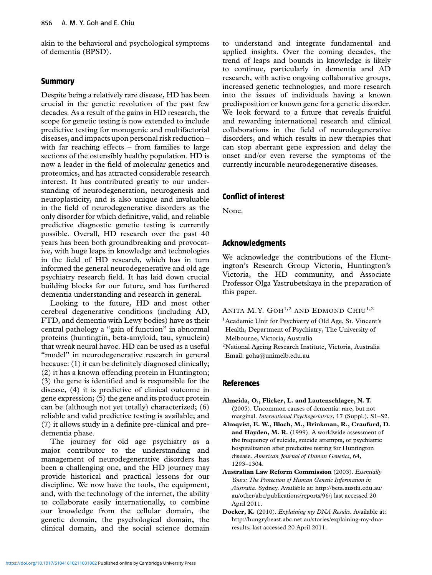akin to the behavioral and psychological symptoms of dementia (BPSD).

#### **Summary**

Despite being a relatively rare disease, HD has been crucial in the genetic revolution of the past few decades. As a result of the gains in HD research, the scope for genetic testing is now extended to include predictive testing for monogenic and multifactorial diseases, and impacts upon personal risk reduction – with far reaching effects – from families to large sections of the ostensibly healthy population. HD is now a leader in the field of molecular genetics and proteomics, and has attracted considerable research interest. It has contributed greatly to our understanding of neurodegeneration, neurogenesis and neuroplasticity, and is also unique and invaluable in the field of neurodegenerative disorders as the only disorder for which definitive, valid, and reliable predictive diagnostic genetic testing is currently possible. Overall, HD research over the past 40 years has been both groundbreaking and provocative, with huge leaps in knowledge and technologies in the field of HD research, which has in turn informed the general neurodegenerative and old age psychiatry research field. It has laid down crucial building blocks for our future, and has furthered dementia understanding and research in general.

Looking to the future, HD and most other cerebral degenerative conditions (including AD, FTD, and dementia with Lewy bodies) have as their central pathology a "gain of function" in abnormal proteins (huntingtin, beta-amyloid, tau, synuclein) that wreak neural havoc. HD can be used as a useful "model" in neurodegenerative research in general because: (1) it can be definitely diagnosed clinically; (2) it has a known offending protein in Huntington; (3) the gene is identified and is responsible for the disease, (4) it is predictive of clinical outcome in gene expression; (5) the gene and its product protein can be (although not yet totally) characterized; (6) reliable and valid predictive testing is available; and (7) it allows study in a definite pre-clinical and predementia phase.

The journey for old age psychiatry as a major contributor to the understanding and management of neurodegenerative disorders has been a challenging one, and the HD journey may provide historical and practical lessons for our discipline. We now have the tools, the equipment, and, with the technology of the internet, the ability to collaborate easily internationally, to combine our knowledge from the cellular domain, the genetic domain, the psychological domain, the clinical domain, and the social science domain

to understand and integrate fundamental and applied insights. Over the coming decades, the trend of leaps and bounds in knowledge is likely to continue, particularly in dementia and AD research, with active ongoing collaborative groups, increased genetic technologies, and more research into the issues of individuals having a known predisposition or known gene for a genetic disorder. We look forward to a future that reveals fruitful and rewarding international research and clinical collaborations in the field of neurodegenerative disorders, and which results in new therapies that can stop aberrant gene expression and delay the onset and/or even reverse the symptoms of the currently incurable neurodegenerative diseases.

#### **Conflict of interest**

None.

#### **Acknowledgments**

We acknowledge the contributions of the Huntington's Research Group Victoria, Huntington's Victoria, the HD community, and Associate Professor Olga Yastrubetskaya in the preparation of this paper.

ANITA M.Y. GOH<sup>1,2</sup> AND EDMOND CHIU<sup>1,2</sup>

- <sup>1</sup> Academic Unit for Psychiatry of Old Age, St. Vincent's Health, Department of Psychiatry, The University of Melbourne, Victoria, Australia
- 2National Ageing Research Institute, Victoria, Australia Email: goha@unimelb.edu.au

#### **References**

- **Almeida, O., Flicker, L. and Lautenschlager, N. T.** (2005). Uncommon causes of dementia: rare, but not marginal. *International Psychogeriatrics*, 17 (Suppl.), S1–S2.
- **Almqvist, E. W., Bloch, M., Brinkman, R., Craufurd, D. and Hayden, M. R.** (1999). A worldwide assessment of the frequency of suicide, suicide attempts, or psychiatric hospitalization after predictive testing for Huntington disease. *American Journal of Human Genetics*, 64, 1293–1304.
- **Australian Law Reform Commission** (2003). *Essentially Yours: The Protection of Human Genetic Information in Australia*. Sydney. Available at: http://beta.austlii.edu.au/ au/other/alrc/publications/reports/96/; last accessed 20 April 2011.
- **Docker, K.** (2010). *Explaining my DNA Results*. Available at: http://hungrybeast.abc.net.au/stories/explaining-my-dnaresults; last accessed 20 April 2011.